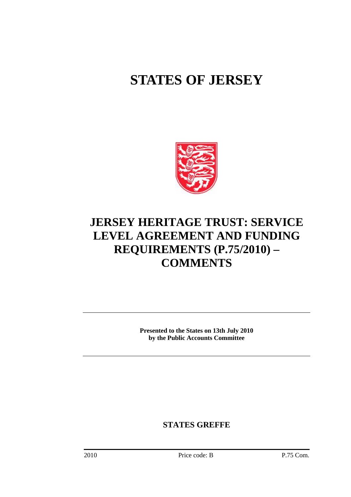# **STATES OF JERSEY**



## **JERSEY HERITAGE TRUST: SERVICE LEVEL AGREEMENT AND FUNDING REQUIREMENTS (P.75/2010) – COMMENTS**

**Presented to the States on 13th July 2010 by the Public Accounts Committee** 

**STATES GREFFE**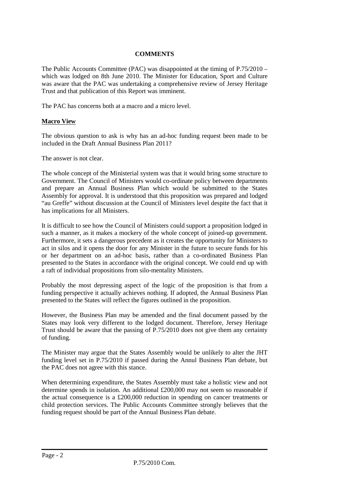#### **COMMENTS**

The Public Accounts Committee (PAC) was disappointed at the timing of P.75/2010 – which was lodged on 8th June 2010. The Minister for Education, Sport and Culture was aware that the PAC was undertaking a comprehensive review of Jersey Heritage Trust and that publication of this Report was imminent.

The PAC has concerns both at a macro and a micro level.

#### **Macro View**

The obvious question to ask is why has an ad-hoc funding request been made to be included in the Draft Annual Business Plan 2011?

The answer is not clear.

The whole concept of the Ministerial system was that it would bring some structure to Government. The Council of Ministers would co-ordinate policy between departments and prepare an Annual Business Plan which would be submitted to the States Assembly for approval. It is understood that this proposition was prepared and lodged "au Greffe" without discussion at the Council of Ministers level despite the fact that it has implications for all Ministers.

It is difficult to see how the Council of Ministers could support a proposition lodged in such a manner, as it makes a mockery of the whole concept of joined-up government. Furthermore, it sets a dangerous precedent as it creates the opportunity for Ministers to act in silos and it opens the door for any Minister in the future to secure funds for his or her department on an ad-hoc basis, rather than a co-ordinated Business Plan presented to the States in accordance with the original concept. We could end up with a raft of individual propositions from silo-mentality Ministers.

Probably the most depressing aspect of the logic of the proposition is that from a funding perspective it actually achieves nothing. If adopted, the Annual Business Plan presented to the States will reflect the figures outlined in the proposition.

However, the Business Plan may be amended and the final document passed by the States may look very different to the lodged document. Therefore, Jersey Heritage Trust should be aware that the passing of P.75/2010 does not give them any certainty of funding.

The Minister may argue that the States Assembly would be unlikely to alter the JHT funding level set in P.75/2010 if passed during the Annul Business Plan debate, but the PAC does not agree with this stance.

When determining expenditure, the States Assembly must take a holistic view and not determine spends in isolation. An additional £200,000 may not seem so reasonable if the actual consequence is a £200,000 reduction in spending on cancer treatments or child protection services. The Public Accounts Committee strongly believes that the funding request should be part of the Annual Business Plan debate.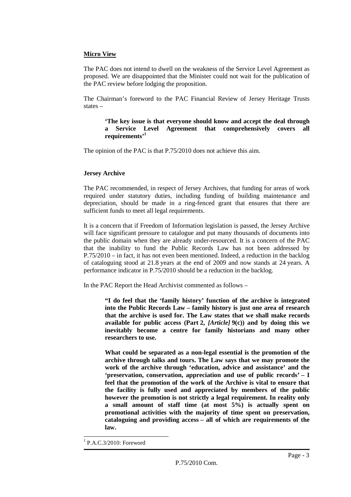#### **Micro View**

The PAC does not intend to dwell on the weakness of the Service Level Agreement as proposed. We are disappointed that the Minister could not wait for the publication of the PAC review before lodging the proposition.

The Chairman's foreword to the PAC Financial Review of Jersey Heritage Trusts states –

#### **'The key issue is that everyone should know and accept the deal through a Service Level Agreement that comprehensively covers all requirements'<sup>1</sup>**

The opinion of the PAC is that P.75/2010 does not achieve this aim.

### **Jersey Archive**

The PAC recommended, in respect of Jersey Archives, that funding for areas of work required under statutory duties, including funding of building maintenance and depreciation, should be made in a ring-fenced grant that ensures that there are sufficient funds to meet all legal requirements.

It is a concern that if Freedom of Information legislation is passed, the Jersey Archive will face significant pressure to catalogue and put many thousands of documents into the public domain when they are already under-resourced. It is a concern of the PAC that the inability to fund the Public Records Law has not been addressed by P.75/2010 – in fact, it has not even been mentioned. Indeed, a reduction in the backlog of cataloguing stood at 21.8 years at the end of 2009 and now stands at 24 years. A performance indicator in P.75/2010 should be a reduction in the backlog.

In the PAC Report the Head Archivist commented as follows –

**"I do feel that the 'family history' function of the archive is integrated into the Public Records Law – family history is just one area of research that the archive is used for. The Law states that we shall make records available for public access (Part 2,** *[Article]* **9(c)) and by doing this we inevitably become a centre for family historians and many other researchers to use.** 

**What could be separated as a non-legal essential is the promotion of the archive through talks and tours. The Law says that we may promote the work of the archive through 'education, advice and assistance' and the 'preservation, conservation, appreciation and use of public records' – I feel that the promotion of the work of the Archive is vital to ensure that the facility is fully used and appreciated by members of the public however the promotion is not strictly a legal requirement. In reality only a small amount of staff time (at most 5%) is actually spent on promotional activities with the majority of time spent on preservation, cataloguing and providing access – all of which are requirements of the law.** 

 $\overline{a}$ 

<sup>1</sup> P.A.C.3/2010: Foreword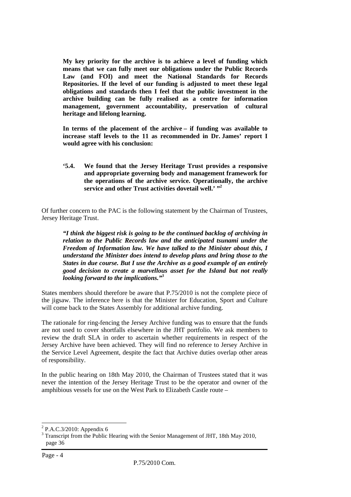**My key priority for the archive is to achieve a level of funding which means that we can fully meet our obligations under the Public Records Law (and FOI) and meet the National Standards for Records Repositories. If the level of our funding is adjusted to meet these legal obligations and standards then I feel that the public investment in the archive building can be fully realised as a centre for information management, government accountability, preservation of cultural heritage and lifelong learning.** 

**In terms of the placement of the archive – if funding was available to increase staff levels to the 11 as recommended in Dr. James' report I would agree with his conclusion:** 

**'5.4. We found that the Jersey Heritage Trust provides a responsive and appropriate governing body and management framework for the operations of the archive service. Operationally, the archive**  service and other Trust activities dovetail well.' "<sup>2</sup>

Of further concern to the PAC is the following statement by the Chairman of Trustees, Jersey Heritage Trust.

*"I think the biggest risk is going to be the continued backlog of archiving in relation to the Public Records law and the anticipated tsunami under the Freedom of Information law. We have talked to the Minister about this, I understand the Minister does intend to develop plans and bring those to the States in due course. But I use the Archive as a good example of an entirely good decision to create a marvellous asset for the Island but not really looking forward to the implications."<sup>3</sup>*

States members should therefore be aware that P.75/2010 is not the complete piece of the jigsaw. The inference here is that the Minister for Education, Sport and Culture will come back to the States Assembly for additional archive funding.

The rationale for ring-fencing the Jersey Archive funding was to ensure that the funds are not used to cover shortfalls elsewhere in the JHT portfolio. We ask members to review the draft SLA in order to ascertain whether requirements in respect of the Jersey Archive have been achieved. They will find no reference to Jersey Archive in the Service Level Agreement, despite the fact that Archive duties overlap other areas of responsibility.

In the public hearing on 18th May 2010, the Chairman of Trustees stated that it was never the intention of the Jersey Heritage Trust to be the operator and owner of the amphibious vessels for use on the West Park to Elizabeth Castle route –

 $\overline{a}$ 

 $2$  P.A.C.3/2010: Appendix 6

<sup>&</sup>lt;sup>3</sup> Transcript from the Public Hearing with the Senior Management of JHT, 18th May 2010, page 36